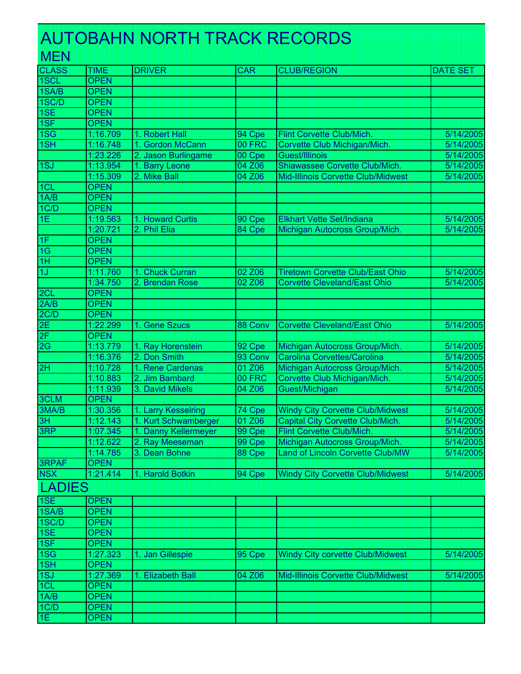## <u>. Alternative Alternative Alternative Internative Alternative Alternative Internative Alternative Alternative</u> AUTOBAHN NORTH TRACK RECORDS

| <b>MEN</b>      |             |                      |            |                                         |                 |
|-----------------|-------------|----------------------|------------|-----------------------------------------|-----------------|
| <b>CLASS</b>    | <b>TIME</b> | <b>DRIVER</b>        | <b>CAR</b> | <b>CLUB/REGION</b>                      | <b>DATE SET</b> |
| 1SCL            | <b>OPEN</b> |                      |            |                                         |                 |
| 1SA/B           | <b>OPEN</b> |                      |            |                                         |                 |
| 1SC/D           | <b>OPEN</b> |                      |            |                                         |                 |
| 1SE             | <b>OPEN</b> |                      |            |                                         |                 |
| 1SF             | <b>OPEN</b> |                      |            |                                         |                 |
| 1S <sub>G</sub> | 1:16.709    | 1. Robert Hall       | 94 Cpe     | Flint Corvette Club/Mich.               | 5/14/2005       |
| 1SH             | 1:16.748    | 1. Gordon McCann     | 00 FRC     | Corvette Club Michigan/Mich.            | 5/14/2005       |
|                 | 1:23.226    | 2. Jason Burlingame  | 00 Cpe     | Guest/Illinois                          | 5/14/2005       |
| 1SJ             | 1:13.954    | 1. Barry Leone       | 04 Z06     | Shiawassee Corvette Club/Mich.          | 5/14/2005       |
|                 | 1:15.309    | 2. Mike Ball         | 04 Z06     | Mid-Illinois Corvette Club/Midwest      | 5/14/2005       |
| 1CL             | <b>OPEN</b> |                      |            |                                         |                 |
| 1A/B            | <b>OPEN</b> |                      |            |                                         |                 |
| 1C/D            | <b>OPEN</b> |                      |            |                                         |                 |
| 1E              | 1:19.563    | 1. Howard Curtis     | 90 Cpe     | Elkhart Vette Set/Indiana               | 5/14/2005       |
|                 | 1:20.721    | 2. Phil Elia         | 84 Cpe     | Michigan Autocross Group/Mich.          | 5/14/2005       |
| 1F              | <b>OPEN</b> |                      |            |                                         |                 |
| 1G              | <b>OPEN</b> |                      |            |                                         |                 |
| 1H              | <b>OPEN</b> |                      |            |                                         |                 |
| 1J              | 1:11.760    | 1. Chuck Curran      | 02 Z06     | <b>Tiretown Corvette Club/East Ohio</b> | 5/14/2005       |
|                 | 1:34.750    | 2. Brendan Rose      | 02 Z06     | <b>Corvette Cleveland/East Ohio</b>     | 5/14/2005       |
| 2CL             | <b>OPEN</b> |                      |            |                                         |                 |
| 2A/B            | <b>OPEN</b> |                      |            |                                         |                 |
| 2C/D            | <b>OPEN</b> |                      |            |                                         |                 |
| 2E              | 1:22.299    | 1. Gene Szucs        | 88 Conv    | <b>Corvette Cleveland/East Ohio</b>     | 5/14/2005       |
| 2F              | <b>OPEN</b> |                      |            |                                         |                 |
| 2G              | 1:13.779    | 1. Ray Horenstein    | 92 Cpe     | Michigan Autocross Group/Mich.          | 5/14/2005       |
|                 | 1:16.376    | 2. Don Smith         | 93 Conv    | Carolina Corvettes/Carolina             | 5/14/2005       |
| 2H              | 1:10.728    | 1. Rene Cardenas     | 01 Z06     | Michigan Autocross Group/Mich.          | 5/14/2005       |
|                 | 1.10.883    | 2. Jim Bambard       | 00 FRC     | Corvette Club Michigan/Mich             | 5/14/2005       |
|                 | 1:11.939    | 3. David Mikels      | 04 Z06     | Guest/Michigan                          | 5/14/2005       |
| 3CLM            | <b>OPEN</b> |                      |            |                                         |                 |
| 3MA/B           | 1:30.356    | 1. Larry Kesselring  | 74 Cpe     | <b>Windy City Corvette Club/Midwest</b> | 5/14/2005       |
| 3H              | 1:12.143    | 1. Kurt Schwamberger | 01 Z06     | Capital City Corvette Club/Mich.        | 5/14/2005       |
| 3RP             | 1:07.345    | 1. Danny Kellermeyer | 99 Cpe     | Flint Corvette Club/Mich.               | 5/14/2005       |
|                 | 1:12.622    | 2. Ray Meeseman      | 99 Cpe     | Michigan Autocross Group/Mich.          | 5/14/2005       |
|                 | 1:14.785    | 3. Dean Bohne        | 88 Cpe     | Land of Lincoln Corvette Club/MW        | 5/14/2005       |
| <b>3RPAF</b>    | <b>OPEN</b> |                      |            |                                         |                 |
| <b>NSX</b>      | 1:21.414    | 1. Harold Botkin     | 94 Cpe     | <b>Windy City Corvette Club/Midwest</b> | 5/14/2005       |
| <b>LADIES</b>   |             |                      |            |                                         |                 |
| 1SE             | <b>OPEN</b> |                      |            |                                         |                 |
| 1SA/B           | <b>OPEN</b> |                      |            |                                         |                 |
| 1SC/D           | <b>OPEN</b> |                      |            |                                         |                 |
| 1SE             | <b>OPEN</b> |                      |            |                                         |                 |
| 1SF             | <b>OPEN</b> |                      |            |                                         |                 |
| 1S <sub>G</sub> | 1:27.323    | 1. Jan Gillespie     | 95 Cpe     | <b>Windy City corvette Club/Midwest</b> | 5/14/2005       |
| 1SH             | <b>OPEN</b> |                      |            |                                         |                 |
| 1SJ             | 1:27.369    | 1. Elizabeth Ball    | 04 Z06     | Mid-Illinois Corvette Club/Midwest      | 5/14/2005       |
| 1CL             | <b>OPEN</b> |                      |            |                                         |                 |
| 1A/B            | <b>OPEN</b> |                      |            |                                         |                 |
| 1C/D            | <b>OPEN</b> |                      |            |                                         |                 |

OPEN **1**